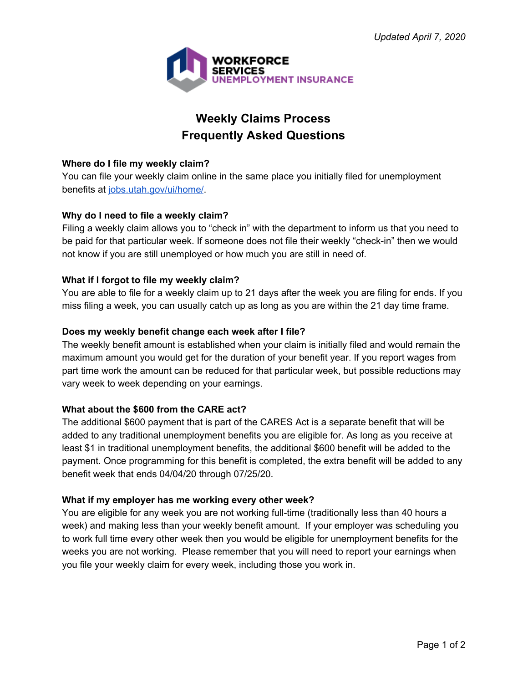

# **Weekly Claims Process Frequently Asked Questions**

## **Where do I file my weekly claim?**

You can file your weekly claim online in the same place you initially filed for unemployment benefits at [jobs.utah.gov/ui/home/](https://jobs.utah.gov/ui/home/).

# **Why do I need to file a weekly claim?**

Filing a weekly claim allows you to "check in" with the department to inform us that you need to be paid for that particular week. If someone does not file their weekly "check-in" then we would not know if you are still unemployed or how much you are still in need of.

# **What if I forgot to file my weekly claim?**

You are able to file for a weekly claim up to 21 days after the week you are filing for ends. If you miss filing a week, you can usually catch up as long as you are within the 21 day time frame.

## **Does my weekly benefit change each week after I file?**

The weekly benefit amount is established when your claim is initially filed and would remain the maximum amount you would get for the duration of your benefit year. If you report wages from part time work the amount can be reduced for that particular week, but possible reductions may vary week to week depending on your earnings.

# **What about the \$600 from the CARE act?**

The additional \$600 payment that is part of the CARES Act is a separate benefit that will be added to any traditional unemployment benefits you are eligible for. As long as you receive at least \$1 in traditional unemployment benefits, the additional \$600 benefit will be added to the payment. Once programming for this benefit is completed, the extra benefit will be added to any benefit week that ends 04/04/20 through 07/25/20.

## **What if my employer has me working every other week?**

You are eligible for any week you are not working full-time (traditionally less than 40 hours a week) and making less than your weekly benefit amount. If your employer was scheduling you to work full time every other week then you would be eligible for unemployment benefits for the weeks you are not working. Please remember that you will need to report your earnings when you file your weekly claim for every week, including those you work in.